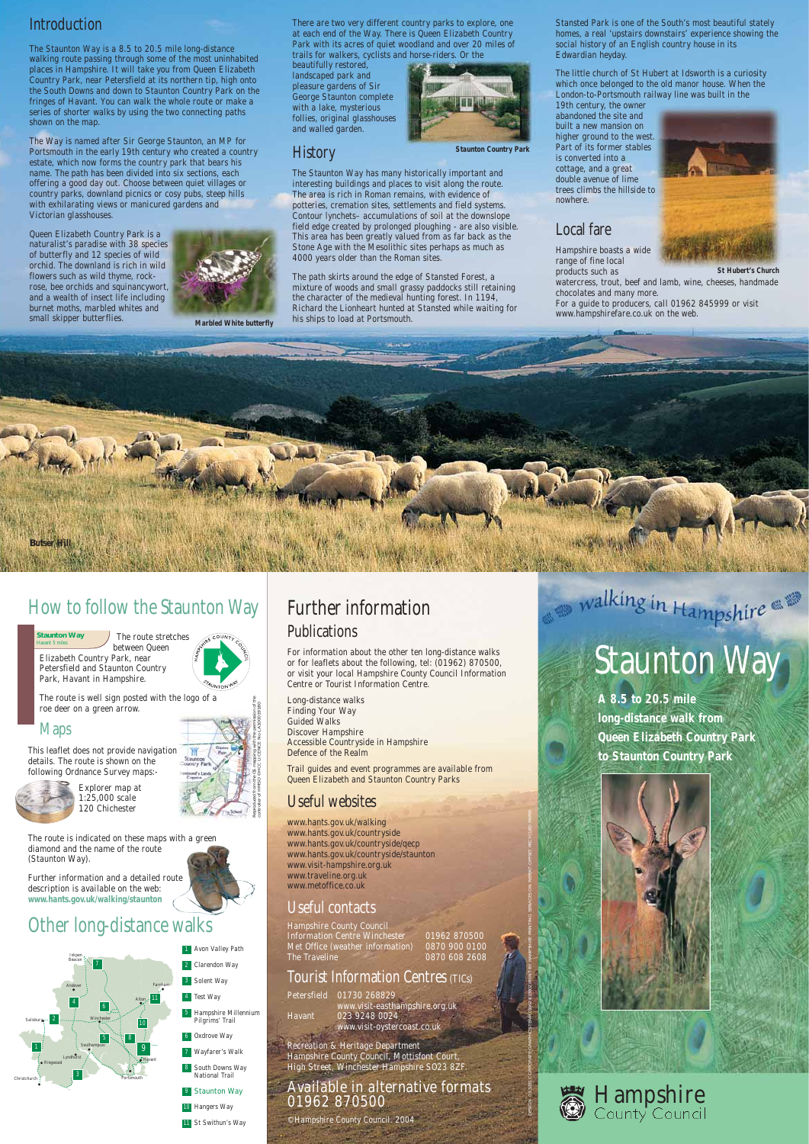## *Introduction*

The Staunton Way is a 8.5 to 20.5 mile long-distance walking route passing through some of the most uninhabited places in Hampshire. It will take you from Queen Elizabeth Country Park, near Petersfield at its northern tip, high onto the South Downs and down to Staunton Country Park on the fringes of Havant. You can walk the whole route or make a series of shorter walks by using the two connecting paths shown on the map.

The Way is named after Sir George Staunton, an MP for Portsmouth in the early 19th century who created a country estate, which now forms the country park that bears his name. The path has been divided into six sections, each offering a good day out. Choose between quiet villages or country parks, downland picnics or cosy pubs, steep hills with exhilarating views or manicured gardens and Victorian glasshouses.

Queen Elizabeth Country Park is a naturalist's paradise with 38 species of butterfly and 12 species of wild orchid. The downland is rich in wild flowers such as wild thyme, rockrose, bee orchids and squinancywort, and a wealth of insect life including burnet moths, marbled whites and small skipper butterflies.



There are two very different country parks to explore, one at each end of the Way. There is Queen Elizabeth Country Park with its acres of quiet woodland and over 20 miles of trails for walkers, cyclists and horse-riders. Or the

beautifully restored, landscaped park and pleasure gardens of Sir George Staunton complete with a lake, mysterious follies, original glasshouses and walled garden.

*History*



The Staunton Way has many historically important and interesting buildings and places to visit along the route. The area is rich in Roman remains, with evidence of potteries, cremation sites, settlements and field systems. Contour lynchets– accumulations of soil at the downslope field edge created by prolonged ploughing - are also visible. This area has been greatly valued from as far back as the Stone Age with the Mesolithic sites perhaps as much as 4000 years older than the Roman sites.

The path skirts around the edge of Stansted Forest, a mixture of woods and small grassy paddocks still retaining the character of the medieval hunting forest. In 1194, Richard the Lionheart hunted at Stansted while waiting for his ships to load at Portsmouth.

Stansted Park is one of the South's most beautiful stately homes, a real 'upstairs downstairs' experience showing the social history of an English country house in its Edwardian heyday.

Hampshire County Council Information Centre Winchester 01962 870500 Met Office (weather information) 0870 900 0100 The Traveline **1888** 0870 608 2608 The little church of St Hubert at Idsworth is a curiosity which once belonged to the old manor house. When the London-to-Portsmouth railway line was built in the

19th century, the owner abandoned the site and built a new mansion on higher ground to the west. Part of its former stables is converted into a cottage, and a great double avenue of lime trees climbs the hillside to nowhere.

## *Local fare*

Hampshire boasts a wide range of fine local products such as



chocolates and many more. For a guide to producers, call 01962 845999 or visit www.hampshirefare.co.uk on the web.

## *How to follow the Staunton Way*

The route stretches

#### **Staunton Way**

between Queen Elizabeth Country Park, near Petersfield and Staunton Country Park, Havant in Hampshire.

The route is well sign posted with the logo of a roe deer on a green arrow.

### *Maps*

This leaflet does not provide navigation details. The route is shown on the following Ordnance Survey maps:-



Explorer map at 1:25,000 scale 120 Chichester

The route is indicated on these maps with a green diamond and the name of the route (Staunton Way).

Further information and a detailed route description is available on the web: **www.hants.gov.uk/walking/staunton**

## *Other long-distance walks*



## *Further information Publications*

For information about the other ten long-distance walks or for leaflets about the following, tel: (01962) 870500, or visit your local Hampshire County Council Information Centre or Tourist Information Centre.

watercress, trout, beef and lamb, wine, cheeses, handmade **St Hubert's Church**

Long-distance walks Finding Your Way Guided Walks Discover Hampshire Accessible Countryside in Hampshire Defence of the Realm

Trail guides and event programmes are available from Queen Elizabeth and Staunton Country Parks

## *Useful websites*

www.hants.gov.uk/walking www.hants.gov.uk/countryside www.hants.gov.uk/countryside/qecp www.hants.gov.uk/countryside/staunton

## walking in Hampshire



## *Useful contacts*

## *Tourist Information Centres (TICs)*

Petersfield 01730 268829 www.visit-easthampshire.org.uk Havant 023 9248 0024 www.visit-oystercoast.co.uk

Recreation & Heritage Department Hampshire County Council, Mottisfont Court, High Street, Winchester Hampshire SO23 8ZF.

### Available in alternative formats 01962 870500

©Hampshire County Council. 2004

**Butser Hill**







# *Staunton Way*

**A 8.5 to 20.5 mile long-distance walk from Queen Elizabeth Country Park to Staunton Country Park**



**Marbled White butterfly**

**Staunton Country Park**

Reproduced from the OS mapping with the permission of the controller of HMSO ©HCC LICENCE No LA100019180

10 Hangers Way 11 St Swithun's Way